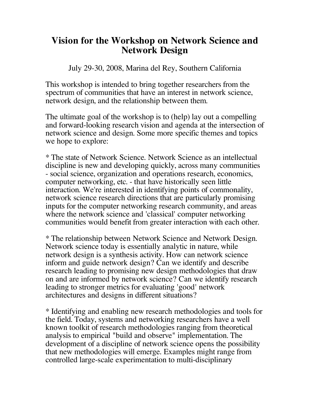## **Vision for the Workshop on Network Science and Network Design**

July 29-30, 2008, Marina del Rey, Southern California

This workshop is intended to bring together researchers from the spectrum of communities that have an interest in network science, network design, and the relationship between them.

The ultimate goal of the workshop is to (help) lay out a compelling and forward-looking research vision and agenda at the intersection of network science and design. Some more specific themes and topics we hope to explore:

\* The state of Network Science. Network Science as an intellectual discipline is new and developing quickly, across many communities - social science, organization and operations research, economics, computer networking, etc. - that have historically seen little interaction. We're interested in identifying points of commonality, network science research directions that are particularly promising inputs for the computer networking research community, and areas where the network science and 'classical' computer networking communities would benefit from greater interaction with each other.

\* The relationship between Network Science and Network Design. Network science today is essentially analytic in nature, while network design is a synthesis activity. How can network science inform and guide network design? Can we identify and describe research leading to promising new design methodologies that draw on and are informed by network science? Can we identify research leading to stronger metrics for evaluating 'good' network architectures and designs in different situations?

\* Identifying and enabling new research methodologies and tools for the field. Today, systems and networking researchers have a well known toolkit of research methodologies ranging from theoretical analysis to empirical "build and observe" implementation. The development of a discipline of network science opens the possibility that new methodologies will emerge. Examples might range from controlled large-scale experimentation to multi-disciplinary